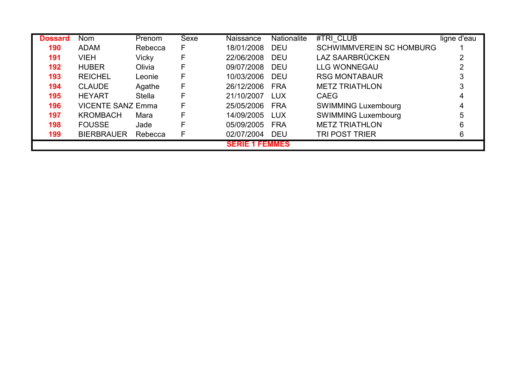| <b>Dossard</b> | <b>Nom</b>               | Prenom        | <b>Sexe</b> | <b>Naissance</b>      | <b>Nationalite</b> | #TRI CLUB                       | ligne d'eau |
|----------------|--------------------------|---------------|-------------|-----------------------|--------------------|---------------------------------|-------------|
| 190            | ADAM                     | Rebecca       | F           | 18/01/2008            | <b>DEU</b>         | <b>SCHWIMMVEREIN SC HOMBURG</b> |             |
| 191            | <b>VIEH</b>              | <b>Vicky</b>  | F           | 22/06/2008            | <b>DEU</b>         | LAZ SAARBRÜCKEN                 |             |
| 192            | <b>HUBER</b>             | Olivia        |             | 09/07/2008            | <b>DEU</b>         | <b>LLG WONNEGAU</b>             |             |
| 193            | <b>REICHEL</b>           | Leonie        | F           | 10/03/2006            | <b>DEU</b>         | <b>RSG MONTABAUR</b>            |             |
| 194            | <b>CLAUDE</b>            | Agathe        | F           | 26/12/2006            | <b>FRA</b>         | <b>METZ TRIATHLON</b>           |             |
| 195            | <b>HEYART</b>            | <b>Stella</b> | F           | 21/10/2007            | <b>LUX</b>         | <b>CAEG</b>                     |             |
| 196            | <b>VICENTE SANZ Emma</b> |               | F           | 25/05/2006            | <b>FRA</b>         | <b>SWIMMING Luxembourg</b>      |             |
| 197            | <b>KROMBACH</b>          | Mara          | F           | 14/09/2005            | <b>LUX</b>         | <b>SWIMMING Luxembourg</b>      |             |
| 198            | <b>FOUSSE</b>            | Jade          |             | 05/09/2005            | <b>FRA</b>         | <b>METZ TRIATHLON</b>           |             |
| 199            | <b>BIERBRAUER</b>        | Rebecca       |             | 02/07/2004            | <b>DEU</b>         | <b>TRI POST TRIER</b>           |             |
|                |                          |               |             | <b>SERIE 1 FEMMES</b> |                    |                                 |             |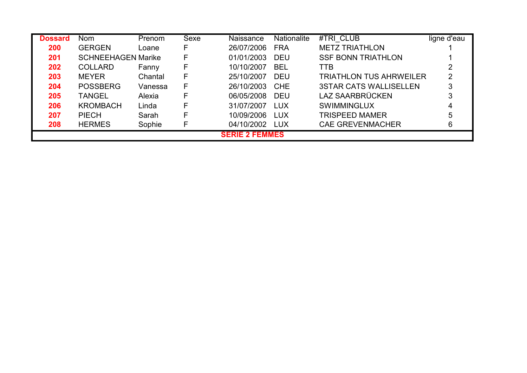| <b>Dossard</b>        | <b>Nom</b>                | Prenom  | <b>Sexe</b> | Naissance  | <b>Nationalite</b> | <b>#TRI CLUB</b>               | ligne d'eau |  |  |
|-----------------------|---------------------------|---------|-------------|------------|--------------------|--------------------------------|-------------|--|--|
| 200                   | <b>GERGEN</b>             | Loane   |             | 26/07/2006 | <b>FRA</b>         | <b>METZ TRIATHLON</b>          |             |  |  |
| 201                   | <b>SCHNEEHAGEN Marike</b> |         |             | 01/01/2003 | <b>DEU</b>         | <b>SSF BONN TRIATHLON</b>      |             |  |  |
| 202                   | <b>COLLARD</b>            | Fanny   |             | 10/10/2007 | <b>BEL</b>         | <b>TTB</b>                     |             |  |  |
| 203                   | <b>MEYER</b>              | Chantal |             | 25/10/2007 | <b>DEU</b>         | <b>TRIATHLON TUS AHRWEILER</b> |             |  |  |
| 204                   | <b>POSSBERG</b>           | Vanessa | F           | 26/10/2003 | <b>CHE</b>         | <b>3STAR CATS WALLISELLEN</b>  |             |  |  |
| 205                   | <b>TANGEL</b>             | Alexia  |             | 06/05/2008 | <b>DEU</b>         | <b>LAZ SAARBRÜCKEN</b>         |             |  |  |
| 206                   | <b>KROMBACH</b>           | Linda   |             | 31/07/2007 | <b>LUX</b>         | <b>SWIMMINGLUX</b>             |             |  |  |
| 207                   | <b>PIECH</b>              | Sarah   |             | 10/09/2006 | <b>LUX</b>         | <b>TRISPEED MAMER</b>          |             |  |  |
| 208                   | <b>HERMES</b>             | Sophie  |             | 04/10/2002 | <b>LUX</b>         | <b>CAE GREVENMACHER</b>        | 6           |  |  |
| <b>SERIE 2 FEMMES</b> |                           |         |             |            |                    |                                |             |  |  |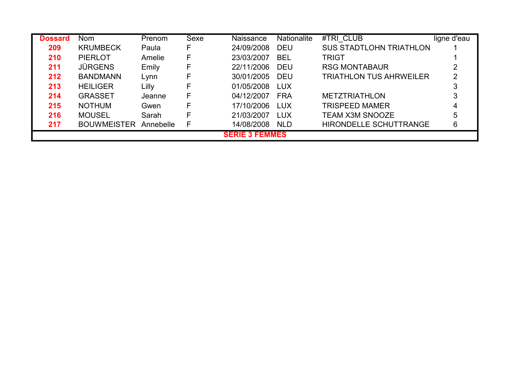| <b>Dossard</b>        | <b>Nom</b>         | Prenom    | Sexe | <b>Naissance</b> | <b>Nationalite</b> | #TRI CLUB                      | ligne d'eau |  |  |
|-----------------------|--------------------|-----------|------|------------------|--------------------|--------------------------------|-------------|--|--|
| 209                   | <b>KRUMBECK</b>    | Paula     | F    | 24/09/2008       | <b>DEU</b>         | <b>SUS STADTLOHN TRIATHLON</b> |             |  |  |
| 210                   | <b>PIERLOT</b>     | Amelie    | F    | 23/03/2007       | <b>BEL</b>         | <b>TRIGT</b>                   |             |  |  |
| 211                   | <b>JÜRGENS</b>     | Emily     | F    | 22/11/2006       | <b>DEU</b>         | <b>RSG MONTABAUR</b>           |             |  |  |
| 212                   | <b>BANDMANN</b>    | Lynn      |      | 30/01/2005       | <b>DEU</b>         | <b>TRIATHLON TUS AHRWEILER</b> |             |  |  |
| 213                   | <b>HEILIGER</b>    | Lilly     | F    | 01/05/2008       | <b>LUX</b>         |                                |             |  |  |
| 214                   | <b>GRASSET</b>     | Jeanne    | F    | 04/12/2007       | <b>FRA</b>         | <b>METZTRIATHLON</b>           |             |  |  |
| 215                   | <b>NOTHUM</b>      | Gwen      | F    | 17/10/2006       | <b>LUX</b>         | <b>TRISPEED MAMER</b>          |             |  |  |
| 216                   | <b>MOUSEL</b>      | Sarah     | F    | 21/03/2007       | <b>LUX</b>         | <b>TEAM X3M SNOOZE</b>         |             |  |  |
| 217                   | <b>BOUWMEISTER</b> | Annebelle | F    | 14/08/2008       | <b>NLD</b>         | HIRONDELLE SCHUTTRANGE         | 6           |  |  |
| <b>SERIE 3 FEMMES</b> |                    |           |      |                  |                    |                                |             |  |  |